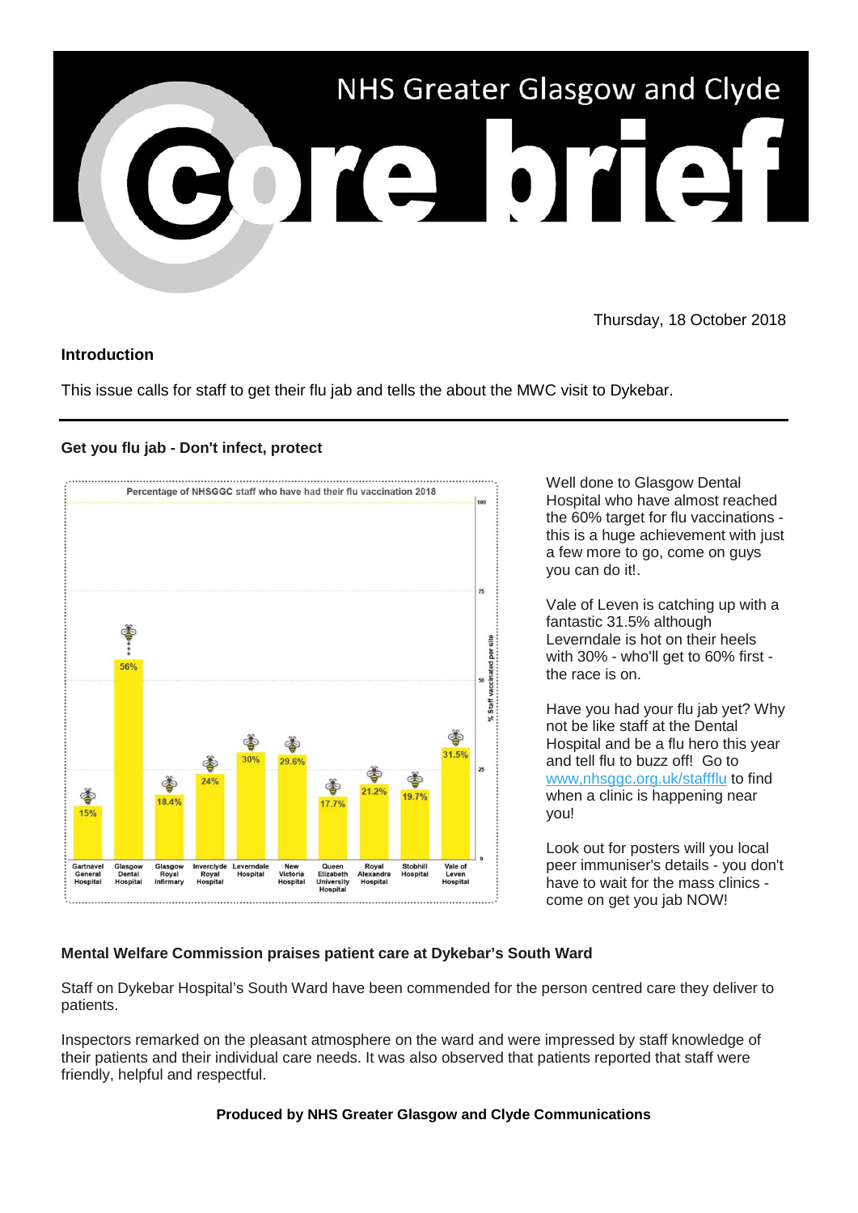

Thursday, 18 October 2018

## **Introduction**

This issue calls for staff to get their flu jab and tells the about the MWC visit to Dykebar.

## **Get you flu jab - Don't infect, protect**



Well done to Glasgow Dental Hospital who have almost reached the 60% target for flu vaccinations this is a huge achievement with just a few more to go, come on guys you can do it!.

Vale of Leven is catching up with a fantastic 31.5% although Leverndale is hot on their heels with 30% - who'll get to 60% first the race is on.

Have you had your flu jab yet? Why not be like staff at the Dental Hospital and be a flu hero this year and tell flu to buzz off! Go to [www,nhsggc.org.uk/staffflu](https://nhsggc.us12.list-manage.com/track/click?u=0f385b5aea37eaf0213bd19fb&id=36350e850f&e=5af5e1832c) to find when a clinic is happening near you!

Look out for posters will you local peer immuniser's details - you don't have to wait for the mass clinics come on get you jab NOW!

## **Mental Welfare Commission praises patient care at Dykebar's South Ward**

Staff on Dykebar Hospital's South Ward have been commended for the person centred care they deliver to patients.

Inspectors remarked on the pleasant atmosphere on the ward and were impressed by staff knowledge of their patients and their individual care needs. It was also observed that patients reported that staff were friendly, helpful and respectful.

## **Produced by NHS Greater Glasgow and Clyde Communications**